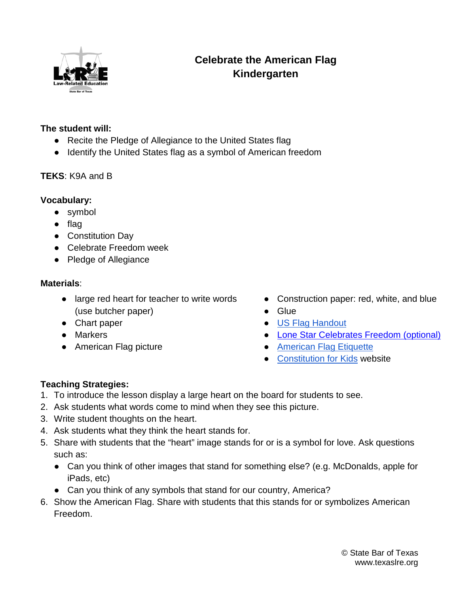

# **Celebrate the American Flag Kindergarten**

#### **The student will:**

- Recite the Pledge of Allegiance to the United States flag
- Identify the United States flag as a symbol of American freedom

### **TEKS**: K9A and B

### **Vocabulary:**

- symbol
- flag
- Constitution Day
- Celebrate Freedom week
- Pledge of Allegiance

#### **Materials**:

- large red heart for teacher to write words (use butcher paper)
- Chart paper
- Markers
- American Flag picture
- Construction paper: red, white, and blue
- Glue
- [US Flag Handout](https://drive.google.com/open?id=1p1gdF84ahtKg7BX-uuzS2oEvFgXRJTPE)
- [Lone Star Celebrates Freedom \(optional\)](https://www.texasbar.com/media/epub/lonestarcelebrates/mobile/index.html#p=1)
- American Flag Etiquette
- [Constitution for Kids](https://www.usconstitution.net/constkidsK.html) website

## **Teaching Strategies:**

- 1. To introduce the lesson display a large heart on the board for students to see.
- 2. Ask students what words come to mind when they see this picture.
- 3. Write student thoughts on the heart.
- 4. Ask students what they think the heart stands for.
- 5. Share with students that the "heart" image stands for or is a symbol for love. Ask questions such as:
	- Can you think of other images that stand for something else? (e.g. McDonalds, apple for iPads, etc)
	- Can you think of any symbols that stand for our country, America?
- 6. Show the American Flag. Share with students that this stands for or symbolizes American Freedom.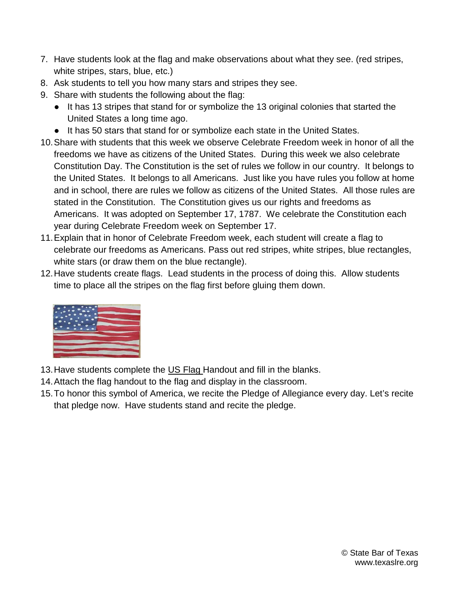- 7. Have students look at the flag and make observations about what they see. (red stripes, white stripes, stars, blue, etc.)
- 8. Ask students to tell you how many stars and stripes they see.
- 9. Share with students the following about the flag:
	- It has 13 stripes that stand for or symbolize the 13 original colonies that started the United States a long time ago.
	- It has 50 stars that stand for or symbolize each state in the United States.
- 10.Share with students that this week we observe Celebrate Freedom week in honor of all the freedoms we have as citizens of the United States. During this week we also celebrate Constitution Day. The Constitution is the set of rules we follow in our country. It belongs to the United States. It belongs to all Americans. Just like you have rules you follow at home and in school, there are rules we follow as citizens of the United States. All those rules are stated in the Constitution. The Constitution gives us our rights and freedoms as Americans. It was adopted on September 17, 1787. We celebrate the Constitution each year during Celebrate Freedom week on September 17.
- 11.Explain that in honor of Celebrate Freedom week, each student will create a flag to celebrate our freedoms as Americans. Pass out red stripes, white stripes, blue rectangles, white stars (or draw them on the blue rectangle).
- 12.Have students create flags. Lead students in the process of doing this. Allow students time to place all the stripes on the flag first before gluing them down.



- 13. Have students complete the US Flag Handout and fill in the blanks.
- 14.Attach the flag handout to the flag and display in the classroom.
- 15.To honor this symbol of America, we recite the Pledge of Allegiance every day. Let's recite that pledge now. Have students stand and recite the pledge.